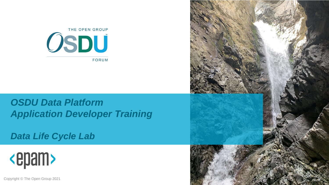

#### *OSDU Data Platform Application Developer Training*

*Data Life Cycle Lab*



Copyright © The Open Group 2021

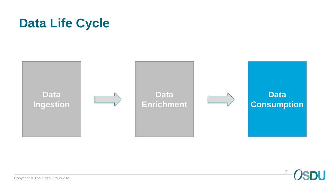### **Data Life Cycle**



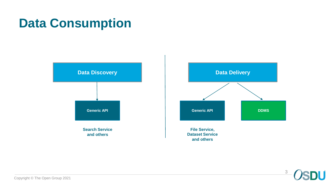### **Data Consumption**





**Dataset Service and others**

> 3 H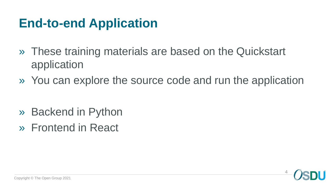#### **End-to-end Application**

- » These training materials are based on the Quickstart application
- » You can explore the source code and run the application

- » Backend in Python
- » Frontend in React

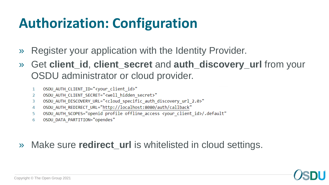# **Authorization: Configuration**

- » Register your application with the Identity Provider.
- » Get **client\_id**, **client\_secret** and **auth\_discovery\_url** from your OSDU administrator or cloud provider.
	- OSDU AUTH CLIENT ID="<your client id>"  $\mathbf{1}$
	- OSDU AUTH CLIENT SECRET="<well hidden secret>" 2
	- OSDU AUTH DISCOVERY URL="<cloud specific auth discovery url 2.0>" 3
	- OSDU\_AUTH\_REDIRECT\_URL="http://localhost:8080/auth/callback" 4
	- OSDU AUTH SCOPES="openid profile offline access <your client id>/.default" 5
	- OSDU DATA PARTITION="opendes" 6
- » Make sure **redirect\_url** is whitelisted in cloud settings.

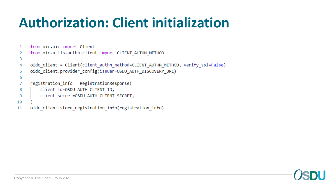# **Authorization: Client initialization**

```
from oic.oic import Client
\mathbf{1}
```

```
from oic.utils.authn.client import CLIENT AUTHN METHOD
2
```

```
oidc_client = Client(client_authn_method=CLIENT_AUTHN_METHOD, verify_ssl=False)
4
```

```
oidc client.provider config(issuer=OSDU AUTH DISCOVERY URL)
5
```

```
6
```
8

9

3

```
registration info = RegistrationResponse(
7
```

```
client id=OSDU AUTH CLIENT ID,
```

```
client secret=OSDU AUTH CLIENT SECRET,
```

```
10
```

```
oidc client.store registration info(registration info)
11
```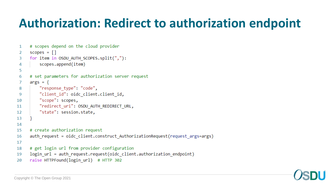### **Authorization: Redirect to authorization endpoint**

```
# scopes depend on the cloud provider
 1
     scopes = []2
     for item in OSDU AUTH SCOPES.split(","):
 3
         scopes.append(item)
 4
 5
     # set parameters for authorization server request
 6
     args = \{7
         "response type": "code",
 8
         "client id": oidc client.client id,
 9
         "scope": scopes,
10
         "redirect_uri": OSDU_AUTH_REDIRECT_URL,
11
         "state": session.state,
121314
15
     # create authorization request
     auth_request = oidc_client.construct_AuthorizationRequest(request_args=args)
16
17
     # get login url from provider configuration
18
     login url = auth request.request(oidc client.authorization endpoint)
19
     raise HTTPFound(login url) # HTTP 302
20
```
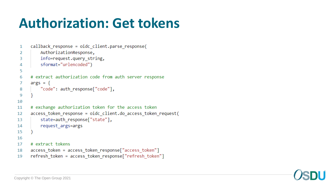# **Authorization: Get tokens**

```
callback response = oidc client.parse response(
 1
         AuthorizationResponse,
 2
         info=request.query_string,
 3
         sformat="urlencoded")
 4
 5
     # extract authorization code from auth server response
 6
     args = \{7
         "code": auth response["code"],
 8
 9
10
     # exchange authorization token for the access token
11access_token_response = oidc_client.do_access_token_request(
12
         state=auth response["state"],
13
         request args=args
14
15
16
     # extract tokens
17
     access token = access token response ["access token"]
18
     refresh_token = access_token_response["refresh_token"]
19
```
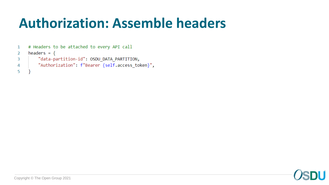# **Authorization: Assemble headers**

|                | 1 # Headers to be attached to every API call    |
|----------------|-------------------------------------------------|
| <sup>2</sup>   | headers = $\{$                                  |
| -3.            | "data-partition-id": OSDU DATA PARTITION,       |
| $\overline{4}$ | "Authorization": f"Bearer {self.access token}", |
| - 5            |                                                 |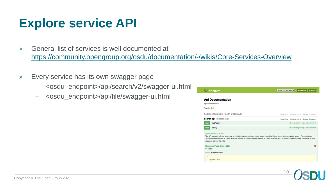### **Explore service API**

- » General list of services is well documented at <https://community.opengroup.org/osdu/documentation/-/wikis/Core-Services-Overview>
- » Every service has its own swagger page
	- <osdu\_endpoint>/api/search/v2/swagger-ui.html
	- <osdu\_endpoint>/api/file/swagger-ui.html

| Show/Hide | <b>List Operations</b>                                                                                                                              | Show/Hide   List Operations   Expand Operations<br><b>Expand Operations</b><br>Queries using the input request criteria.                                  |
|-----------|-----------------------------------------------------------------------------------------------------------------------------------------------------|-----------------------------------------------------------------------------------------------------------------------------------------------------------|
|           |                                                                                                                                                     |                                                                                                                                                           |
|           |                                                                                                                                                     |                                                                                                                                                           |
|           |                                                                                                                                                     |                                                                                                                                                           |
|           |                                                                                                                                                     |                                                                                                                                                           |
|           |                                                                                                                                                     |                                                                                                                                                           |
|           |                                                                                                                                                     |                                                                                                                                                           |
|           |                                                                                                                                                     | Queries using the input request criteria.                                                                                                                 |
|           | The API supports full text search on string fields, range queries on date, numeric or string fields, along with geo-spatial search. Required roles: | 'users.datalake.viewers' or 'users.datalake.editors' or 'users.datalake.admins' or 'users.datalake.ops'. In addition, users must be a member of data<br>A |
|           |                                                                                                                                                     |                                                                                                                                                           |

10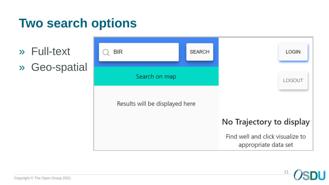#### **Two search options**

- » Full-text
- » Geo-spatial



11

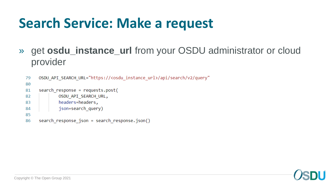# **Search Service: Make a request**

» get **osdu\_instance\_url** from your OSDU administrator or cloud provider

```
OSDU API SEARCH URL="https://<osdu instance url>/api/search/v2/query"
79
80
81
     search response = requests.post(
             OSDU API SEARCH URL,
82
             headers=headers,
83
             json=search query)
84
85
     search response json = search response.json()
86
```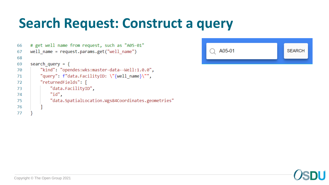## **Search Request: Construct a query**

```
# get well name from request, such as "A05-01"
66
     well name = request.params.get("well name")
67
68
69
     search query = \{"kind": "opendes:wks:master-data--Well:1.0.0",
70
         "query": f"data.FacilityID: \"{well_name}\"",
71
         "returnedFields": [
72
             "data.FacilityID",
73
             "id",
74
              "data.SpatialLocation.Wgs84Coordinates.geometries"
75
76
77
```


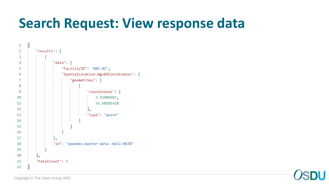## **Search Request: View response data**



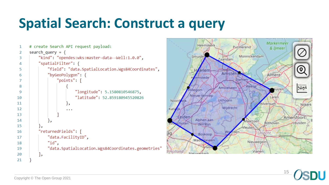# **Spatial Search: Construct a query**

```
# create Search API request payload:
 \mathbf{1}search query = \{2
          "kind": "opendes:wks:master-data--Well:1.0.0",
 3
          "spatialFilter": {
 Δ
              "field": "data.SpatialLocation.Wgs84Coordinates",
 5
              "byGeoPolygon": {
 6
                   "points": [
 8
                           "longitude": 5.1580810546875,
 9
                           "latitude": 52.859180945520826
10
11
                       łэ
12
                       . . .
13
14r,
15
          łэ
          "returnedFields": [
16
              "data.FacilityID",
17
              "id".
18
              "data.SpatialLocation.Wgs84Coordinates.geometries"
19
20
          Ъ
21
```


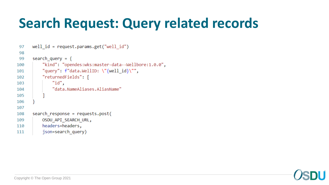# **Search Request: Query related records**

```
well id = request.params.get("well id")97
98
      search query = \{99
100
           "kind": "opendes:wks:master-data--Wellbore:1.0.0",
           "query": f"data.WellID: \{\text{well id}\}",
101
          "returnedFields": [
102
               "id".
103
               "data.NameAliases.AliasName"
104
105
106
107
      search response = requests.post(
108
109
          OSDU API SEARCH URL,
          headers=headers,
110
          json=search query)
111
```
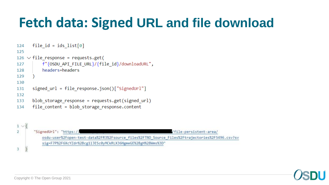# **Fetch data: Signed URL and file download**

```
file id = ids list[0]
124
125
126 \vee file response = requests.get(
          f"{OSDU_API_FILE_URL}/{file_id}/downloadURL",
127
          headers=headers
128
129
130
      signed url = file response.join()['SignedUr1"]131
132
      blob storage response = requests.get(signed url)
133
      file_content = blob_storage_response.content
134
```


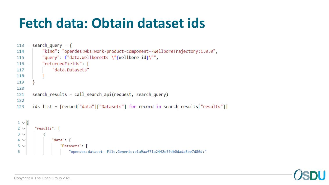# **Fetch data: Obtain dataset ids**

```
search query = \{113
          "kind": "opendes:wks:work-product-component--WellboreTrajectory:1.0.0",
114
          "query": f"data.WellboreID: \"{wellbore_id}\"",
115
          "returnedFields": [
116
              "data.Datasets"
117
118
119
120
      search_results = call_search_api(request, search_query)
121
122
      ids_list = [record["data"]["Datasets"] for record in search_results["results"]]
123
```

```
1 \vee 12 \vee"results": [
3 \vee"data": \{4\sqrt{ }5 \vee"Datasets": [
6
                           "opendes:dataset--File.Generic:e1a9aaf71a2442e59db0dada8be7d86d:"
```